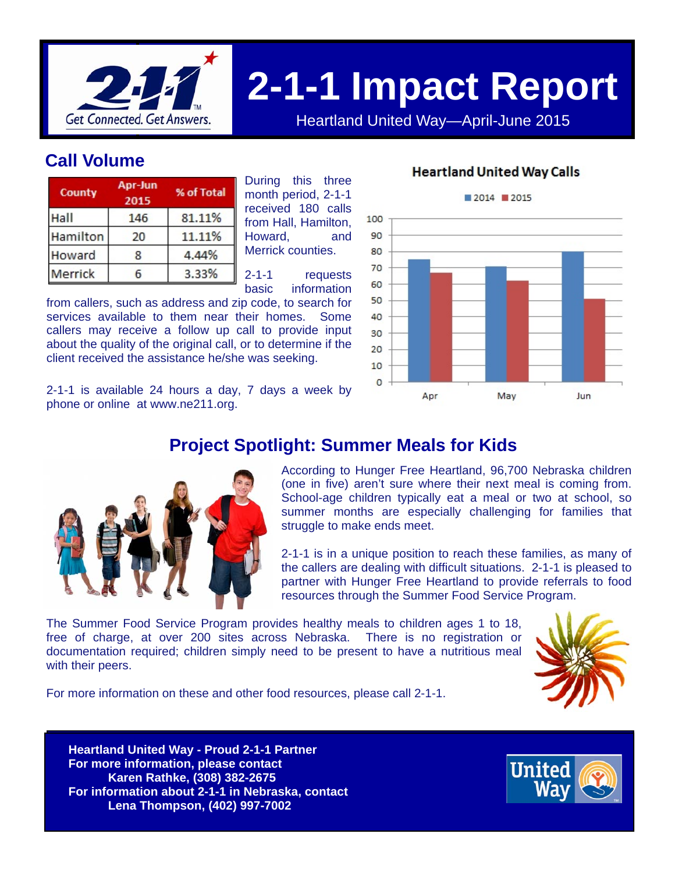

# **2-1-1 Impact Report**

Heartland United Way—April-June 2015

## **Call Volume**

| County   | Apr-Jun<br>2015 | % of Total |  |
|----------|-----------------|------------|--|
| Hall     | 146             | 81.11%     |  |
| Hamilton | 20              | 11.11%     |  |
| Howard   | 8               | 4.44%      |  |
| Merrick  | h               | 3.33%      |  |

During this three month period, 2-1-1 received 180 calls from Hall, Hamilton, Howard, and Merrick counties.

2-1-1 requests basic information

from callers, such as address and zip code, to search for services available to them near their homes. Some callers may receive a follow up call to provide input about the quality of the original call, or to determine if the client received the assistance he/she was seeking.

2-1-1 is available 24 hours a day, 7 days a week by phone or online at www.ne211.org.

#### **Heartland United Way Calls**



### **Project Spotlight: Summer Meals for Kids**



According to Hunger Free Heartland, 96,700 Nebraska children (one in five) aren't sure where their next meal is coming from. School-age children typically eat a meal or two at school, so summer months are especially challenging for families that struggle to make ends meet.

2-1-1 is in a unique position to reach these families, as many of the callers are dealing with difficult situations. 2-1-1 is pleased to partner with Hunger Free Heartland to provide referrals to food resources through the Summer Food Service Program.

The Summer Food Service Program provides healthy meals to children ages 1 to 18, free of charge, at over 200 sites across Nebraska. There is no registration or documentation required; children simply need to be present to have a nutritious meal with their peers.



For more information on these and other food resources, please call 2-1-1.

**Heartland United Way - Proud 2-1-1 Partner Heartland United Way - Proud 2-1-1 Partner For more information, please contact For more information, please contact Karen Rathke, (308) 382-2675 Karen Rathke, (308) 382-2675 For information about 2-1-1 in Nebraska, contact For information about 2-1-1 in Nebraska, contact Lena Thompson, (402) 997-7002 Lena Thompson, (402) 997-7002**